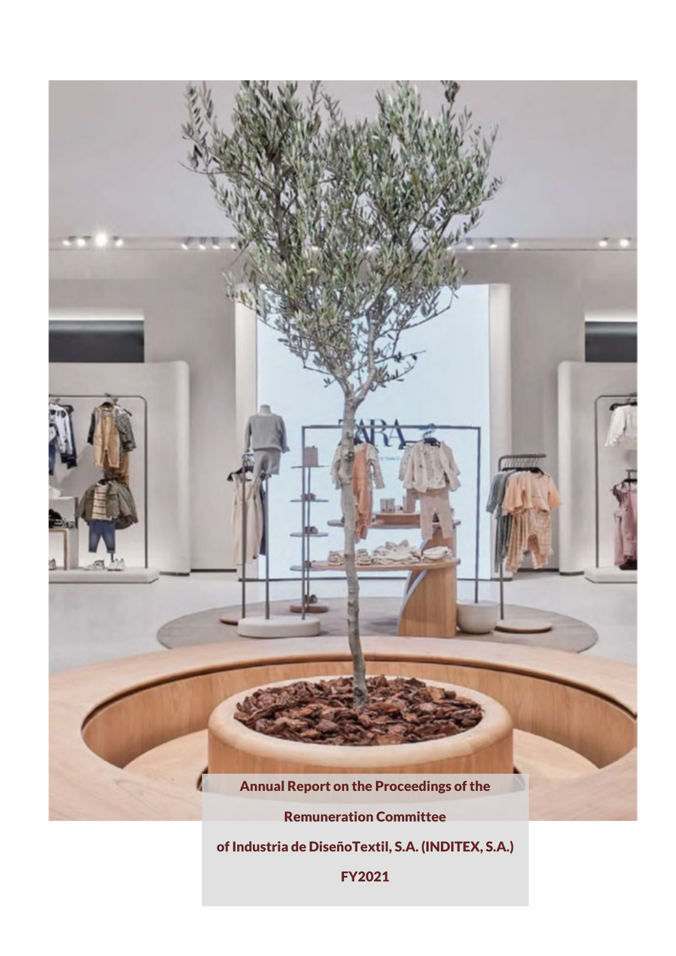

of Industria de DiseñoTextil, S.A. (INDITEX, S.A.)

FY2021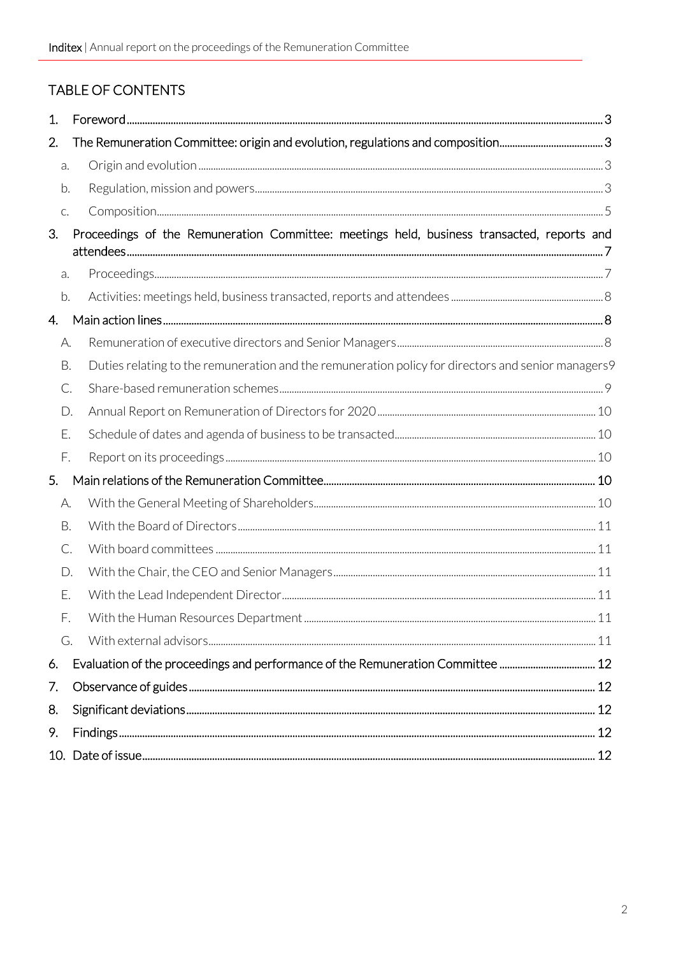# TABLE OF CONTENTS

| 1. |    |                                                                                                    |  |  |  |  |
|----|----|----------------------------------------------------------------------------------------------------|--|--|--|--|
| 2. |    |                                                                                                    |  |  |  |  |
| a. |    |                                                                                                    |  |  |  |  |
| b. |    |                                                                                                    |  |  |  |  |
| C. |    |                                                                                                    |  |  |  |  |
| 3. |    | Proceedings of the Remuneration Committee: meetings held, business transacted, reports and         |  |  |  |  |
| a. |    |                                                                                                    |  |  |  |  |
| b. |    |                                                                                                    |  |  |  |  |
| 4. |    |                                                                                                    |  |  |  |  |
| А. |    |                                                                                                    |  |  |  |  |
| В. |    | Duties relating to the remuneration and the remuneration policy for directors and senior managers9 |  |  |  |  |
|    | C. |                                                                                                    |  |  |  |  |
|    | D. |                                                                                                    |  |  |  |  |
| Ε. |    |                                                                                                    |  |  |  |  |
| F. |    |                                                                                                    |  |  |  |  |
| 5. |    |                                                                                                    |  |  |  |  |
| A. |    |                                                                                                    |  |  |  |  |
|    | В. |                                                                                                    |  |  |  |  |
|    | C. |                                                                                                    |  |  |  |  |
|    | D. |                                                                                                    |  |  |  |  |
| Ε. |    |                                                                                                    |  |  |  |  |
| F. |    |                                                                                                    |  |  |  |  |
| G. |    |                                                                                                    |  |  |  |  |
| 6. |    |                                                                                                    |  |  |  |  |
| 7. |    |                                                                                                    |  |  |  |  |
| 8. |    |                                                                                                    |  |  |  |  |
| 9. |    |                                                                                                    |  |  |  |  |
|    |    |                                                                                                    |  |  |  |  |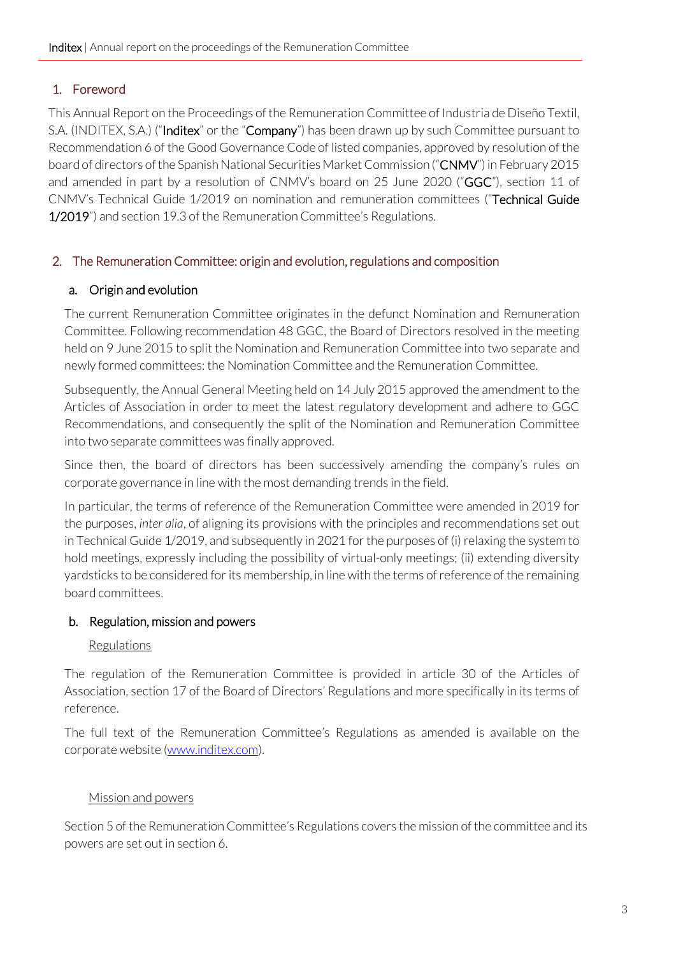# <span id="page-2-0"></span>1. Foreword

This Annual Report on the Proceedings of the Remuneration Committee of Industria de Diseño Textil, S.A. (INDITEX, S.A.) ("**Inditex**" or the "**Company**") has been drawn up by such Committee pursuant to Recommendation 6 of the Good Governance Code of listed companies, approved by resolution of the board of directors of the Spanish National Securities Market Commission ("CNMV") in February 2015 and amended in part by a resolution of CNMV's board on 25 June 2020 ("GGC"), section 11 of CNMV's Technical Guide 1/2019 on nomination and remuneration committees ("Technical Guide 1/2019") and section 19.3 of the Remuneration Committee's Regulations.

#### <span id="page-2-1"></span>2. The Remuneration Committee: origin and evolution, regulations and composition

#### <span id="page-2-2"></span>a. Origin and evolution

The current Remuneration Committee originates in the defunct Nomination and Remuneration Committee. Following recommendation 48 GGC, the Board of Directors resolved in the meeting held on 9 June 2015 to split the Nomination and Remuneration Committee into two separate and newly formed committees: the Nomination Committee and the Remuneration Committee.

Subsequently, the Annual General Meeting held on 14 July 2015 approved the amendment to the Articles of Association in order to meet the latest regulatory development and adhere to GGC Recommendations, and consequently the split of the Nomination and Remuneration Committee into two separate committees was finally approved.

Since then, the board of directors has been successively amending the company's rules on corporate governance in line with the most demanding trends in the field.

In particular, the terms of reference of the Remuneration Committee were amended in 2019 for the purposes, *inter alia*, of aligning its provisions with the principles and recommendations set out in Technical Guide 1/2019, and subsequently in 2021 for the purposes of (i) relaxing the system to hold meetings, expressly including the possibility of virtual-only meetings; (ii) extending diversity yardsticks to be considered for its membership, in line with the terms of reference of the remaining board committees.

#### <span id="page-2-3"></span>b. Regulation, mission and powers

#### Regulations

The regulation of the Remuneration Committee is provided in article 30 of the Articles of Association, section 17 of the Board of Directors' Regulations and more specifically in its terms of reference.

The full text of the Remuneration Committee's Regulations as amended is available on the corporate website [\(www.inditex.com\)](http://www.inditex.com/).

#### Mission and powers

Section 5 of the Remuneration Committee's Regulations covers the mission of the committee and its powers are set out in section 6.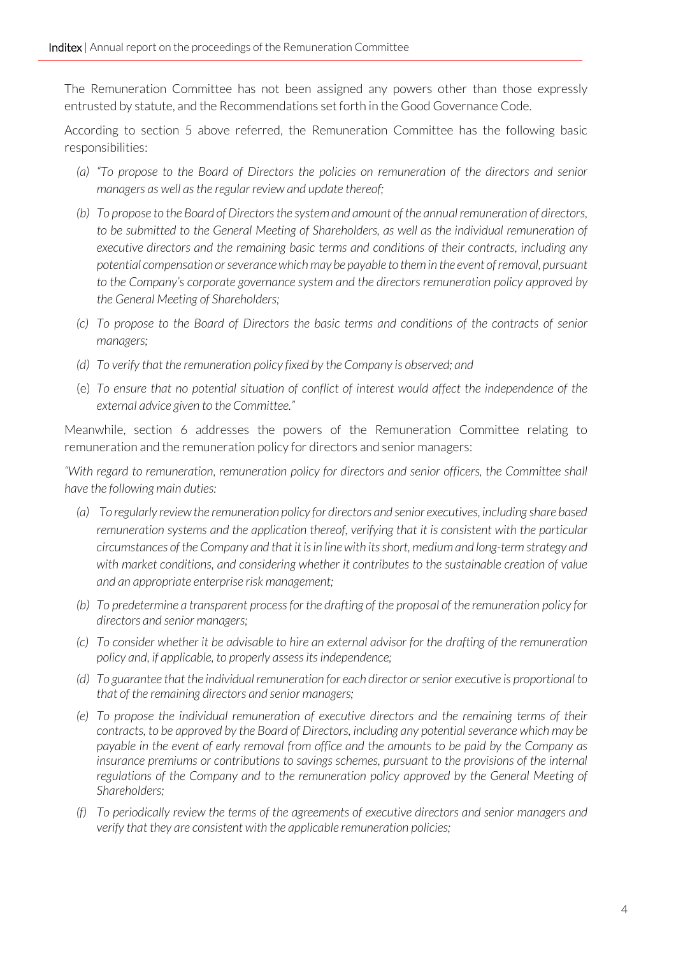The Remuneration Committee has not been assigned any powers other than those expressly entrusted by statute, and the Recommendations set forth in the Good Governance Code.

According to section 5 above referred, the Remuneration Committee has the following basic responsibilities:

- *(a) "To propose to the Board of Directors the policies on remuneration of the directors and senior managers as well as the regular review and update thereof;*
- *(b) To propose to the Board of Directors the system and amount of the annual remuneration of directors,*  to be submitted to the General Meeting of Shareholders, as well as the individual remuneration of *executive directors and the remaining basic terms and conditions of their contracts, including any potential compensation or severance which may be payable to them in the event of removal, pursuant to the Company's corporate governance system and the directors remuneration policy approved by the General Meeting of Shareholders;*
- *(c) To propose to the Board of Directors the basic terms and conditions of the contracts of senior managers;*
- *(d) To verify that the remuneration policy fixed by the Company is observed; and*
- (e) *To ensure that no potential situation of conflict of interest would affect the independence of the external advice given to the Committee."*

Meanwhile, section 6 addresses the powers of the Remuneration Committee relating to remuneration and the remuneration policy for directors and senior managers:

*"With regard to remuneration, remuneration policy for directors and senior officers, the Committee shall have the following main duties:*

- *(a) To regularly review the remuneration policy for directors and senior executives, including share based remuneration systems and the application thereof, verifying that it is consistent with the particular circumstances of the Company and that it is in line with its short, medium and long-term strategy and with market conditions, and considering whether it contributes to the sustainable creation of value and an appropriate enterprise risk management;*
- *(b) To predetermine a transparent process for the drafting of the proposal of the remuneration policy for directors and senior managers;*
- *(c) To consider whether it be advisable to hire an external advisor for the drafting of the remuneration policy and, if applicable, to properly assess its independence;*
- *(d) To guarantee that the individual remuneration for each director or senior executive is proportional to that of the remaining directors and senior managers;*
- *(e) To propose the individual remuneration of executive directors and the remaining terms of their contracts, to be approved by the Board of Directors, including any potential severance which may be payable in the event of early removal from office and the amounts to be paid by the Company as insurance premiums or contributions to savings schemes, pursuant to the provisions of the internal* regulations of the Company and to the remuneration policy approved by the General Meeting of *Shareholders;*
- *(f) To periodically review the terms of the agreements of executive directors and senior managers and verify that they are consistent with the applicable remuneration policies;*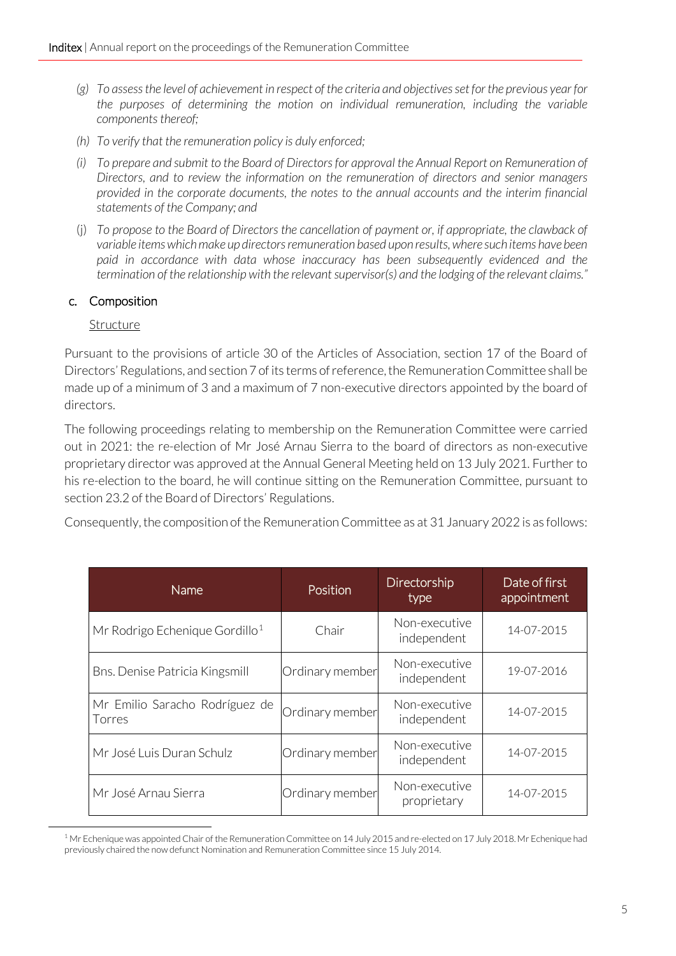- *(g) To assess the level of achievement in respect of the criteria and objectives set for the previous year for the purposes of determining the motion on individual remuneration, including the variable components thereof;*
- *(h) To verify that the remuneration policy is duly enforced;*
- *(i) To prepare and submit to the Board of Directors for approval the Annual Report on Remuneration of Directors, and to review the information on the remuneration of directors and senior managers provided in the corporate documents, the notes to the annual accounts and the interim financial statements of the Company; and*
- (j) *To propose to the Board of Directors the cancellation of payment or, if appropriate, the clawback of variable items which make up directors remuneration based upon results, where such items have been paid in accordance with data whose inaccuracy has been subsequently evidenced and the termination of the relationship with the relevant supervisor(s) and the lodging of the relevant claims."*

#### <span id="page-4-0"></span>c. Composition

#### Structure

Pursuant to the provisions of article 30 of the Articles of Association, section 17 of the Board of Directors' Regulations, and section 7 of its terms of reference, the Remuneration Committee shall be made up of a minimum of 3 and a maximum of 7 non-executive directors appointed by the board of directors.

The following proceedings relating to membership on the Remuneration Committee were carried out in 2021: the re-election of Mr José Arnau Sierra to the board of directors as non-executive proprietary director was approved at the Annual General Meeting held on 13 July 2021. Further to his re-election to the board, he will continue sitting on the Remuneration Committee, pursuant to section 23.2 of the Board of Directors' Regulations.

Consequently, the composition of the Remuneration Committee as at 31 January 2022 is as follows:

| Name                                       | Position        | Directorship<br>type         | Date of first<br>appointment |
|--------------------------------------------|-----------------|------------------------------|------------------------------|
| Mr Rodrigo Echenique Gordillo <sup>1</sup> | Chair           | Non-executive<br>independent | 14-07-2015                   |
| Bns. Denise Patricia Kingsmill             | Ordinary member | Non-executive<br>independent | 19-07-2016                   |
| Mr Emilio Saracho Rodríguez de<br>Torres   | Ordinary member | Non-executive<br>independent | 14-07-2015                   |
| Mr José Luis Duran Schulz                  | Ordinary member | Non-executive<br>independent | 14-07-2015                   |
| Mr José Arnau Sierra                       | Ordinary member | Non-executive<br>proprietary | 14-07-2015                   |

<span id="page-4-1"></span><sup>&</sup>lt;sup>1</sup> Mr Echenique was appointed Chair of the Remuneration Committee on 14 July 2015 and re-elected on 17 July 2018. Mr Echenique had previously chaired the now defunct Nomination and Remuneration Committee since 15 July 2014.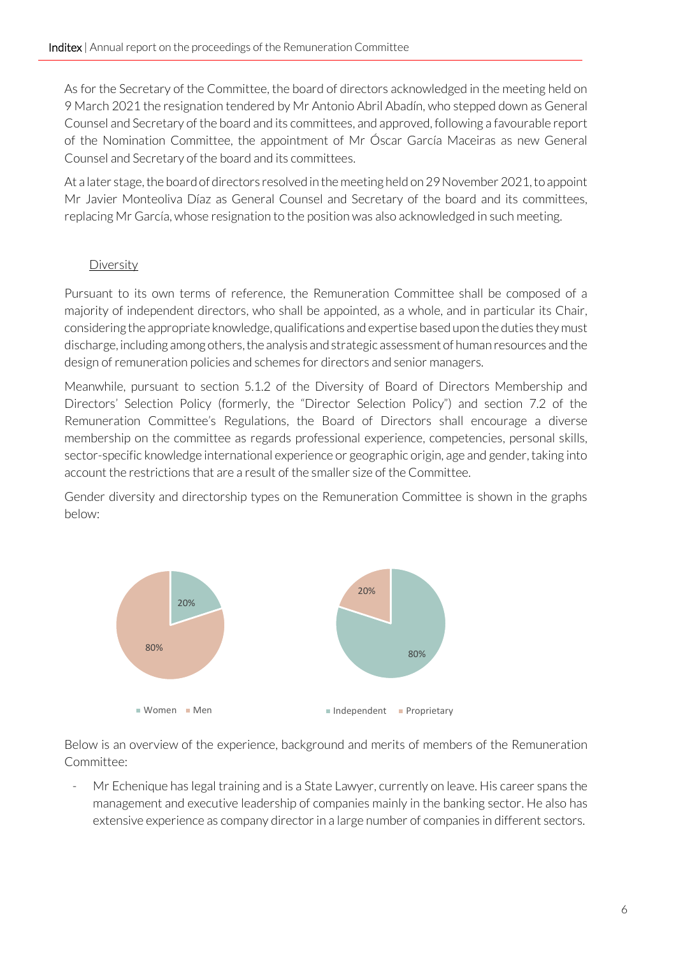As for the Secretary of the Committee, the board of directors acknowledged in the meeting held on 9 March 2021 the resignation tendered by Mr Antonio Abril Abadín, who stepped down as General Counsel and Secretary of the board and its committees, and approved, following a favourable report of the Nomination Committee, the appointment of Mr Óscar García Maceiras as new General Counsel and Secretary of the board and its committees.

At a later stage, the board of directors resolved in the meeting held on 29 November 2021, to appoint Mr Javier Monteoliva Díaz as General Counsel and Secretary of the board and its committees, replacing Mr García, whose resignation to the position was also acknowledged in such meeting.

## Diversity

Pursuant to its own terms of reference, the Remuneration Committee shall be composed of a majority of independent directors, who shall be appointed, as a whole, and in particular its Chair, considering the appropriate knowledge, qualifications and expertise based upon the duties they must discharge, including among others, the analysis and strategic assessment of human resources and the design of remuneration policies and schemes for directors and senior managers.

Meanwhile, pursuant to section 5.1.2 of the Diversity of Board of Directors Membership and Directors' Selection Policy (formerly, the "Director Selection Policy") and section 7.2 of the Remuneration Committee's Regulations, the Board of Directors shall encourage a diverse membership on the committee as regards professional experience, competencies, personal skills, sector-specific knowledge international experience or geographic origin, age and gender, taking into account the restrictions that are a result of the smaller size of the Committee.

Gender diversity and directorship types on the Remuneration Committee is shown in the graphs below:



Below is an overview of the experience, background and merits of members of the Remuneration Committee:

Mr Echenique has legal training and is a State Lawyer, currently on leave. His career spans the management and executive leadership of companies mainly in the banking sector. He also has extensive experience as company director in a large number of companies in different sectors.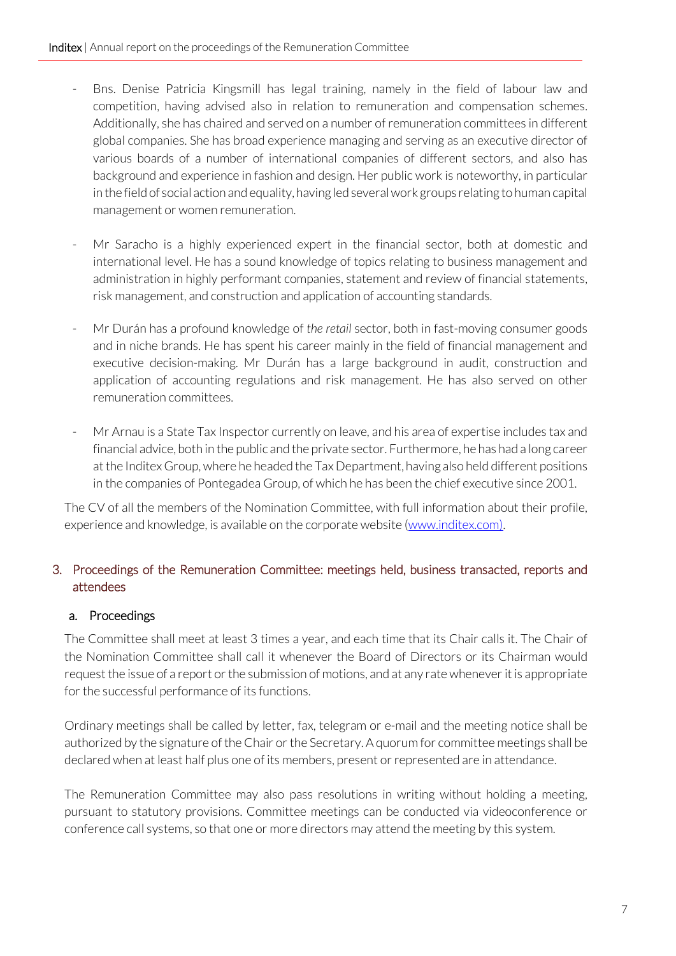- Bns. Denise Patricia Kingsmill has legal training, namely in the field of labour law and competition, having advised also in relation to remuneration and compensation schemes. Additionally, she has chaired and served on a number of remuneration committees in different global companies. She has broad experience managing and serving as an executive director of various boards of a number of international companies of different sectors, and also has background and experience in fashion and design. Her public work is noteworthy, in particular in the field of social action and equality, having led several work groups relating to human capital management or women remuneration.
- Mr Saracho is a highly experienced expert in the financial sector, both at domestic and international level. He has a sound knowledge of topics relating to business management and administration in highly performant companies, statement and review of financial statements, risk management, and construction and application of accounting standards.
- Mr Durán has a profound knowledge of *the retail* sector, both in fast-moving consumer goods and in niche brands. He has spent his career mainly in the field of financial management and executive decision-making. Mr Durán has a large background in audit, construction and application of accounting regulations and risk management. He has also served on other remuneration committees.
- Mr Arnau is a State Tax Inspector currently on leave, and his area of expertise includes tax and financial advice, both in the public and the private sector. Furthermore, he has had a long career at the Inditex Group, where he headed the Tax Department, having also held different positions in the companies of Pontegadea Group, of which he has been the chief executive since 2001.

The CV of all the members of the Nomination Committee, with full information about their profile, experience and knowledge, is available on the corporate website [\(www.inditex.com](file://Hermes/Direccion/ElisaRP/Elisa/PROYECTOS%20TRADOS/JGA%2022/en-GB/www.inditex.com)[\).](http://www.inditex.com/)

## <span id="page-6-0"></span>3. Proceedings of the Remuneration Committee: meetings held, business transacted, reports and attendees

#### <span id="page-6-1"></span>a. Proceedings

The Committee shall meet at least 3 times a year, and each time that its Chair calls it. The Chair of the Nomination Committee shall call it whenever the Board of Directors or its Chairman would request the issue of a report or the submission of motions, and at any rate whenever it is appropriate for the successful performance of its functions.

Ordinary meetings shall be called by letter, fax, telegram or e-mail and the meeting notice shall be authorized by the signature of the Chair or the Secretary. A quorum for committee meetings shall be declared when at least half plus one of its members, present or represented are in attendance.

The Remuneration Committee may also pass resolutions in writing without holding a meeting, pursuant to statutory provisions. Committee meetings can be conducted via videoconference or conference call systems, so that one or more directors may attend the meeting by this system.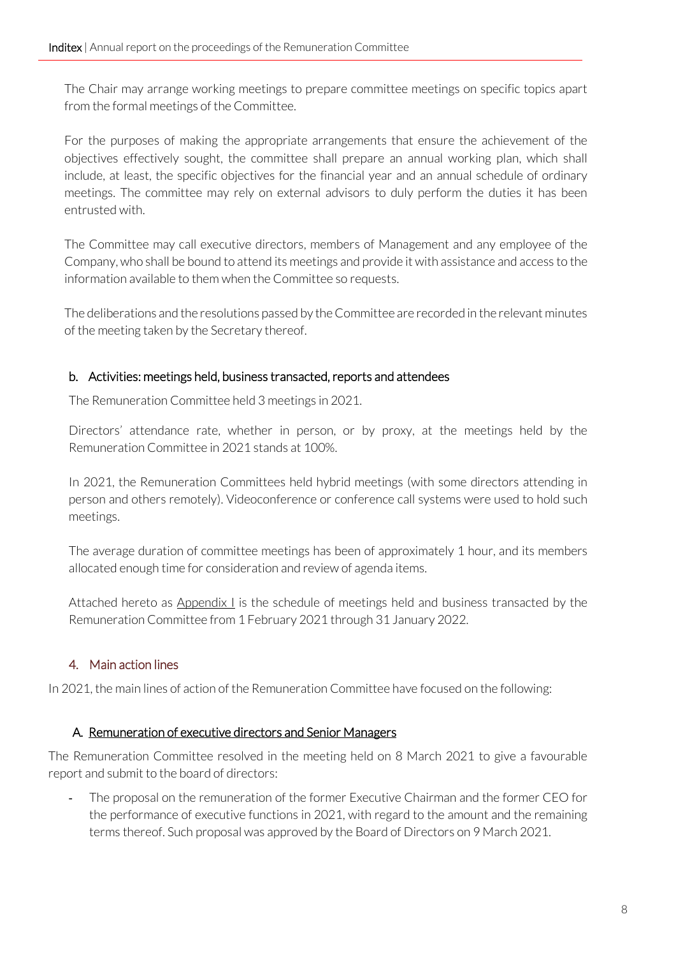The Chair may arrange working meetings to prepare committee meetings on specific topics apart from the formal meetings of the Committee.

For the purposes of making the appropriate arrangements that ensure the achievement of the objectives effectively sought, the committee shall prepare an annual working plan, which shall include, at least, the specific objectives for the financial year and an annual schedule of ordinary meetings. The committee may rely on external advisors to duly perform the duties it has been entrusted with.

The Committee may call executive directors, members of Management and any employee of the Company, who shall be bound to attend its meetings and provide it with assistance and access to the information available to them when the Committee so requests.

The deliberations and the resolutions passed by the Committee are recorded in the relevant minutes of the meeting taken by the Secretary thereof.

#### <span id="page-7-0"></span>b. Activities: meetings held, business transacted, reports and attendees

The Remuneration Committee held 3 meetings in 2021.

Directors' attendance rate, whether in person, or by proxy, at the meetings held by the Remuneration Committee in 2021 stands at 100%.

In 2021, the Remuneration Committees held hybrid meetings (with some directors attending in person and others remotely). Videoconference or conference call systems were used to hold such meetings.

The average duration of committee meetings has been of approximately 1 hour, and its members allocated enough time for consideration and review of agenda items.

Attached hereto as Appendix I is the schedule of meetings held and business transacted by the Remuneration Committee from 1 February 2021 through 31 January 2022.

# <span id="page-7-1"></span>4. Main action lines

In 2021, the main lines of action of the Remuneration Committee have focused on the following:

#### <span id="page-7-2"></span>A. Remuneration of executive directors and Senior Managers

The Remuneration Committee resolved in the meeting held on 8 March 2021 to give a favourable report and submit to the board of directors:

- The proposal on the remuneration of the former Executive Chairman and the former CEO for the performance of executive functions in 2021, with regard to the amount and the remaining terms thereof. Such proposal was approved by the Board of Directors on 9 March 2021.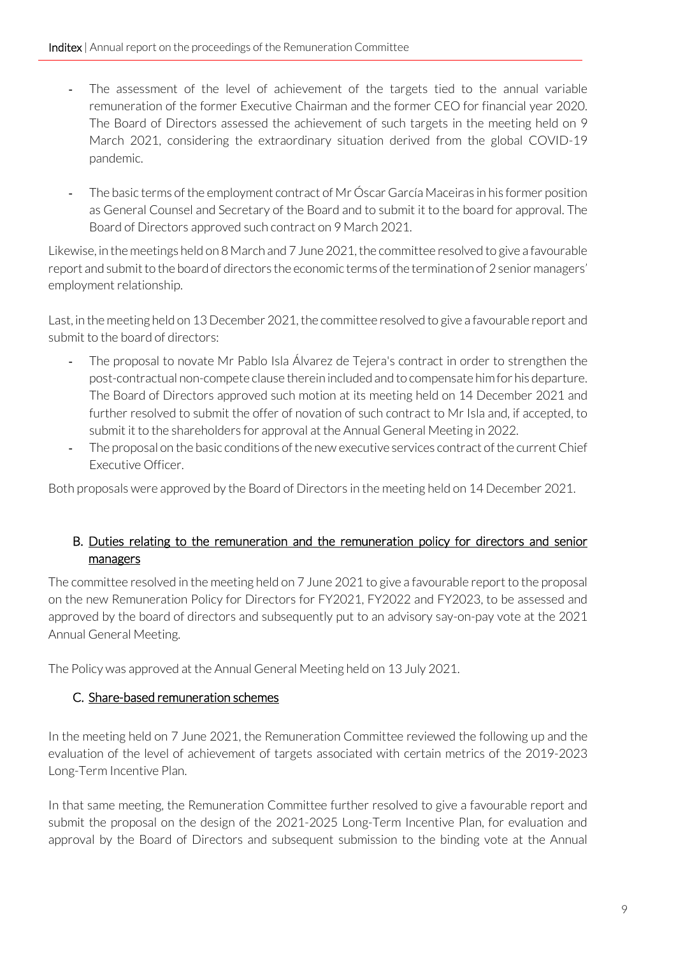- The assessment of the level of achievement of the targets tied to the annual variable remuneration of the former Executive Chairman and the former CEO for financial year 2020. The Board of Directors assessed the achievement of such targets in the meeting held on 9 March 2021, considering the extraordinary situation derived from the global COVID-19 pandemic.
- The basic terms of the employment contract of Mr Óscar García Maceiras in his former position as General Counsel and Secretary of the Board and to submit it to the board for approval. The Board of Directors approved such contract on 9 March 2021.

Likewise, in the meetings held on 8 March and 7 June 2021, the committee resolved to give a favourable report and submit to the board of directors the economic terms of the termination of 2 senior managers' employment relationship.

Last, in the meeting held on 13 December 2021, the committee resolved to give a favourable report and submit to the board of directors:

- The proposal to novate Mr Pablo Isla Álvarez de Tejera's contract in order to strengthen the post-contractual non-compete clause therein included and to compensate him for his departure. The Board of Directors approved such motion at its meeting held on 14 December 2021 and further resolved to submit the offer of novation of such contract to Mr Isla and, if accepted, to submit it to the shareholders for approval at the Annual General Meeting in 2022.
- The proposal on the basic conditions of the new executive services contract of the current Chief Executive Officer.

Both proposals were approved by the Board of Directors in the meeting held on 14 December 2021.

#### <span id="page-8-0"></span>B. Duties relating to the remuneration and the remuneration policy for directors and senior managers

The committee resolved in the meeting held on 7 June 2021 to give a favourable report to the proposal on the new Remuneration Policy for Directors for FY2021, FY2022 and FY2023, to be assessed and approved by the board of directors and subsequently put to an advisory say-on-pay vote at the 2021 Annual General Meeting.

<span id="page-8-1"></span>The Policy was approved at the Annual General Meeting held on 13 July 2021.

#### C. Share-based remuneration schemes

In the meeting held on 7 June 2021, the Remuneration Committee reviewed the following up and the evaluation of the level of achievement of targets associated with certain metrics of the 2019-2023 Long-Term Incentive Plan.

In that same meeting, the Remuneration Committee further resolved to give a favourable report and submit the proposal on the design of the 2021-2025 Long-Term Incentive Plan, for evaluation and approval by the Board of Directors and subsequent submission to the binding vote at the Annual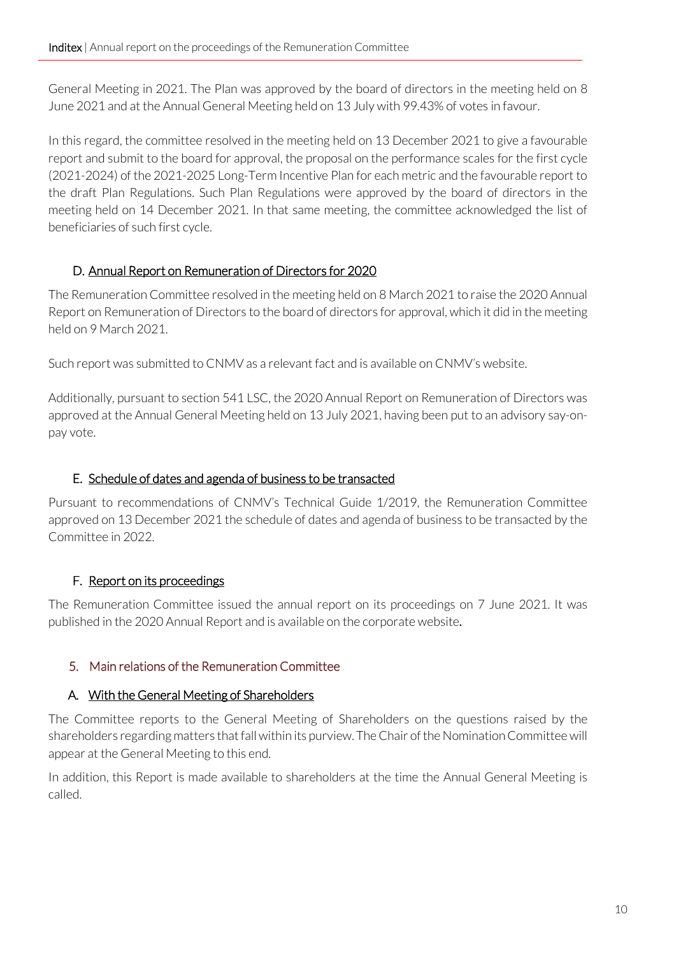General Meeting in 2021. The Plan was approved by the board of directors in the meeting held on 8 June 2021 and at the Annual General Meeting held on 13 July with 99.43% of votes in favour.

In this regard, the committee resolved in the meeting held on 13 December 2021 to give a favourable report and submit to the board for approval, the proposal on the performance scales for the first cycle (2021-2024) of the 2021-2025 Long-Term Incentive Plan for each metric and the favourable report to the draft Plan Regulations. Such Plan Regulations were approved by the board of directors in the meeting held on 14 December 2021. In that same meeting, the committee acknowledged the list of beneficiaries of such first cycle.

## <span id="page-9-0"></span>D. Annual Report on Remuneration of Directors for 2020

The Remuneration Committee resolved in the meeting held on 8 March 2021 to raise the 2020 Annual Report on Remuneration of Directors to the board of directors for approval, which it did in the meeting held on 9 March 2021.

Such report was submitted to CNMV as a relevant fact and is available on CNMV's website.

Additionally, pursuant to section 541 LSC, the 2020 Annual Report on Remuneration of Directors was approved at the Annual General Meeting held on 13 July 2021, having been put to an advisory say-onpay vote.

#### <span id="page-9-1"></span>E. Schedule of dates and agenda of business to be transacted

Pursuant to recommendations of CNMV's Technical Guide 1/2019, the Remuneration Committee approved on 13 December 2021 the schedule of dates and agenda of business to be transacted by the Committee in 2022.

# <span id="page-9-2"></span>F. Report on its proceedings

The Remuneration Committee issued the annual report on its proceedings on 7 June 2021. It was published in the 2020 Annual Report and is available on the corporate website.

# <span id="page-9-3"></span>5. Main relations of the Remuneration Committee

#### <span id="page-9-4"></span>A. With the General Meeting of Shareholders

The Committee reports to the General Meeting of Shareholders on the questions raised by the shareholders regarding matters that fall within its purview. The Chair of the Nomination Committee will appear at the General Meeting to this end.

In addition, this Report is made available to shareholders at the time the Annual General Meeting is called.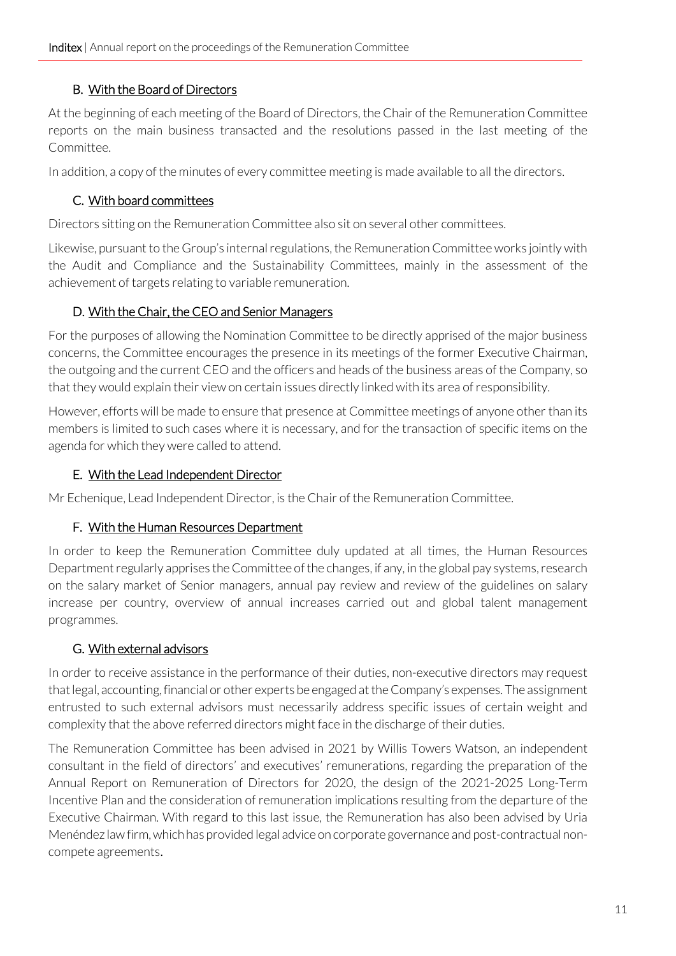### B. With the Board of Directors

<span id="page-10-0"></span>At the beginning of each meeting of the Board of Directors, the Chair of the Remuneration Committee reports on the main business transacted and the resolutions passed in the last meeting of the Committee.

<span id="page-10-1"></span>In addition, a copy of the minutes of every committee meeting is made available to all the directors.

## C. With board committees

Directors sitting on the Remuneration Committee also sit on several other committees.

Likewise, pursuant to the Group's internal regulations, the Remuneration Committee works jointly with the Audit and Compliance and the Sustainability Committees, mainly in the assessment of the achievement of targets relating to variable remuneration.

## D. With the Chair, the CEO and Senior Managers

<span id="page-10-2"></span>For the purposes of allowing the Nomination Committee to be directly apprised of the major business concerns, the Committee encourages the presence in its meetings of the former Executive Chairman, the outgoing and the current CEO and the officers and heads of the business areas of the Company, so that they would explain their view on certain issues directly linked with its area of responsibility.

However, efforts will be made to ensure that presence at Committee meetings of anyone other than its members is limited to such cases where it is necessary, and for the transaction of specific items on the agenda for which they were called to attend.

### <span id="page-10-3"></span>E. With the Lead Independent Director

<span id="page-10-4"></span>Mr Echenique, Lead Independent Director, is the Chair of the Remuneration Committee.

#### F. With the Human Resources Department

In order to keep the Remuneration Committee duly updated at all times, the Human Resources Department regularly apprises the Committee of the changes, if any, in the global pay systems, research on the salary market of Senior managers, annual pay review and review of the guidelines on salary increase per country, overview of annual increases carried out and global talent management programmes.

#### <span id="page-10-5"></span>G. With external advisors

In order to receive assistance in the performance of their duties, non-executive directors may request that legal, accounting, financial or other experts be engaged at the Company's expenses. The assignment entrusted to such external advisors must necessarily address specific issues of certain weight and complexity that the above referred directors might face in the discharge of their duties.

The Remuneration Committee has been advised in 2021 by Willis Towers Watson, an independent consultant in the field of directors' and executives' remunerations, regarding the preparation of the Annual Report on Remuneration of Directors for 2020, the design of the 2021-2025 Long-Term Incentive Plan and the consideration of remuneration implications resulting from the departure of the Executive Chairman. With regard to this last issue, the Remuneration has also been advised by Uria Menéndez law firm, which has provided legal advice on corporate governance and post-contractual noncompete agreements.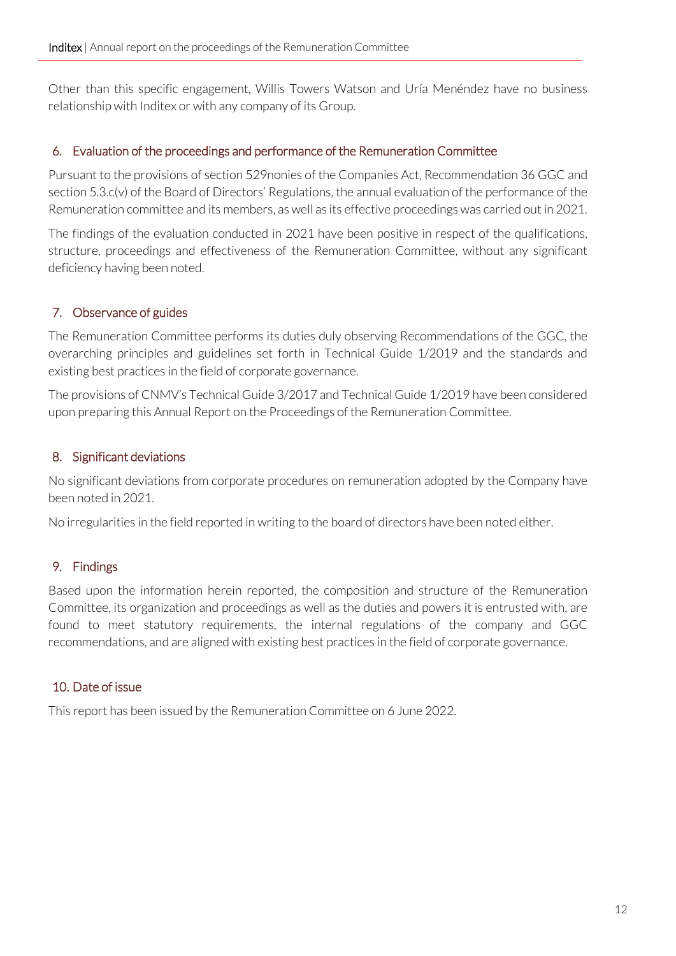Other than this specific engagement, Willis Towers Watson and Uría Menéndez have no business relationship with Inditex or with any company of its Group.

#### <span id="page-11-0"></span>6. Evaluation of the proceedings and performance of the Remuneration Committee

Pursuant to the provisions of section 529nonies of the Companies Act, Recommendation 36 GGC and section 5.3.c(v) of the Board of Directors' Regulations, the annual evaluation of the performance of the Remuneration committee and its members, as well as its effective proceedings was carried out in 2021.

The findings of the evaluation conducted in 2021 have been positive in respect of the qualifications, structure, proceedings and effectiveness of the Remuneration Committee, without any significant deficiency having been noted.

## <span id="page-11-1"></span>7. Observance of guides

The Remuneration Committee performs its duties duly observing Recommendations of the GGC, the overarching principles and guidelines set forth in Technical Guide 1/2019 and the standards and existing best practices in the field of corporate governance.

The provisions of CNMV's Technical Guide 3/2017 and Technical Guide 1/2019 have been considered upon preparing this Annual Report on the Proceedings of the Remuneration Committee.

#### <span id="page-11-2"></span>8. Significant deviations

No significant deviations from corporate procedures on remuneration adopted by the Company have been noted in 2021.

No irregularities in the field reported in writing to the board of directors have been noted either.

#### <span id="page-11-3"></span>9. Findings

Based upon the information herein reported, the composition and structure of the Remuneration Committee, its organization and proceedings as well as the duties and powers it is entrusted with, are found to meet statutory requirements, the internal regulations of the company and GGC recommendations, and are aligned with existing best practices in the field of corporate governance.

#### <span id="page-11-4"></span>10. Date of issue

This report has been issued by the Remuneration Committee on 6 June 2022.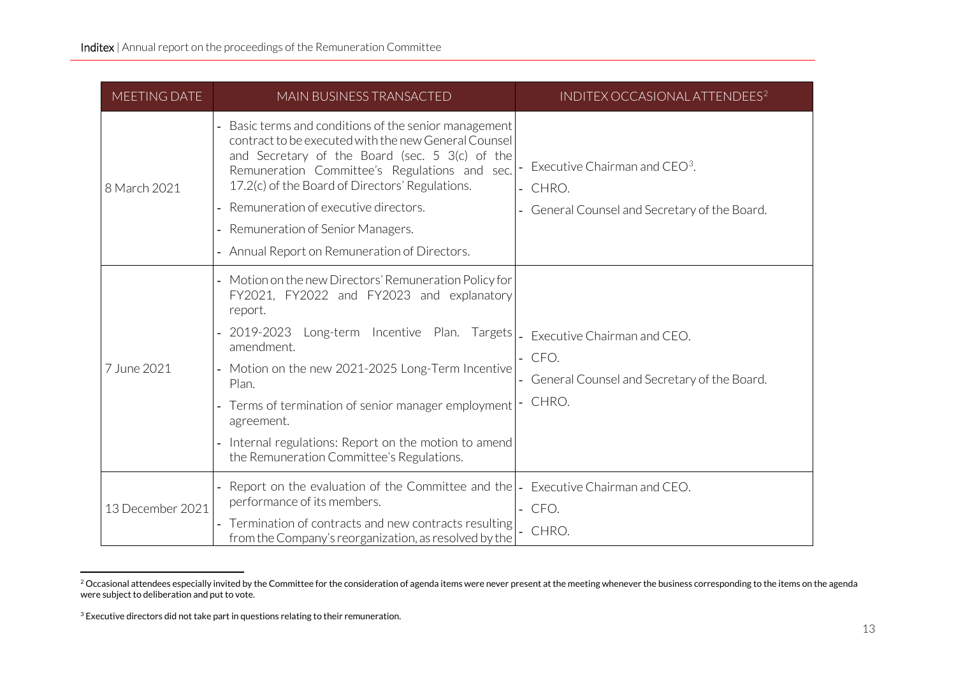<span id="page-12-1"></span><span id="page-12-0"></span>

| MEETING DATE     | MAIN BUSINESS TRANSACTED                                                                                                                                                                                                                                                                                                                                                                                                                     | INDITEX OCCASIONAL ATTENDEES <sup>2</sup>                                               |
|------------------|----------------------------------------------------------------------------------------------------------------------------------------------------------------------------------------------------------------------------------------------------------------------------------------------------------------------------------------------------------------------------------------------------------------------------------------------|-----------------------------------------------------------------------------------------|
| 8 March 2021     | Basic terms and conditions of the senior management<br>contract to be executed with the new General Counsel<br>and Secretary of the Board (sec. $5 \frac{3}{c}$ ) of the<br>Remuneration Committee's Regulations and sec.<br>17.2(c) of the Board of Directors' Regulations.<br>Remuneration of executive directors.<br>Remuneration of Senior Managers.<br>Annual Report on Remuneration of Directors.                                      | Executive Chairman and $CEO3$ .<br>CHRO.<br>General Counsel and Secretary of the Board. |
| 7 June 2021      | Motion on the new Directors' Remuneration Policy for<br>FY2021, FY2022 and FY2023 and explanatory<br>report.<br>2019-2023 Long-term Incentive Plan. Targets   Executive Chairman and CEO.<br>amendment.<br>- Motion on the new 2021-2025 Long-Term Incentive<br>Plan.<br>Terms of termination of senior manager employment<br>agreement.<br>Internal regulations: Report on the motion to amend<br>the Remuneration Committee's Regulations. | $-$ CFO.<br>General Counsel and Secretary of the Board.<br>CHRO.                        |
| 13 December 2021 | Report on the evaluation of the Committee and the  -<br>performance of its members.<br>Termination of contracts and new contracts resulting<br>from the Company's reorganization, as resolved by the                                                                                                                                                                                                                                         | Executive Chairman and CEO.<br>CFO.<br>CHRO.                                            |

<sup>&</sup>lt;sup>2</sup> Occasional attendees especially invited by the Committee for the consideration of agenda items were never present at the meeting whenever the business corresponding to the items on the agenda were subject to deliberation and put to vote.

 $3$  Executive directors did not take part in questions relating to their remuneration.